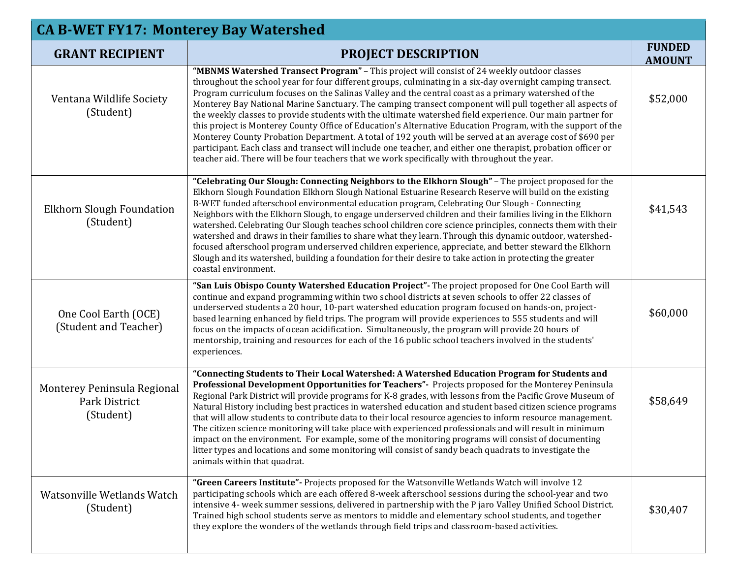| <b>CA B-WET FY17: Monterey Bay Watershed</b>              |                                                                                                                                                                                                                                                                                                                                                                                                                                                                                                                                                                                                                                                                                                                                                                                                                                                                                                                                                                                          |                                |  |
|-----------------------------------------------------------|------------------------------------------------------------------------------------------------------------------------------------------------------------------------------------------------------------------------------------------------------------------------------------------------------------------------------------------------------------------------------------------------------------------------------------------------------------------------------------------------------------------------------------------------------------------------------------------------------------------------------------------------------------------------------------------------------------------------------------------------------------------------------------------------------------------------------------------------------------------------------------------------------------------------------------------------------------------------------------------|--------------------------------|--|
| <b>GRANT RECIPIENT</b>                                    | <b>PROJECT DESCRIPTION</b>                                                                                                                                                                                                                                                                                                                                                                                                                                                                                                                                                                                                                                                                                                                                                                                                                                                                                                                                                               | <b>FUNDED</b><br><b>AMOUNT</b> |  |
| Ventana Wildlife Society<br>(Student)                     | "MBNMS Watershed Transect Program" - This project will consist of 24 weekly outdoor classes<br>throughout the school year for four different groups, culminating in a six-day overnight camping transect.<br>Program curriculum focuses on the Salinas Valley and the central coast as a primary watershed of the<br>Monterey Bay National Marine Sanctuary. The camping transect component will pull together all aspects of<br>the weekly classes to provide students with the ultimate watershed field experience. Our main partner for<br>this project is Monterey County Office of Education's Alternative Education Program, with the support of the<br>Monterey County Probation Department. A total of 192 youth will be served at an average cost of \$690 per<br>participant. Each class and transect will include one teacher, and either one therapist, probation officer or<br>teacher aid. There will be four teachers that we work specifically with throughout the year. | \$52,000                       |  |
| Elkhorn Slough Foundation<br>(Student)                    | "Celebrating Our Slough: Connecting Neighbors to the Elkhorn Slough" - The project proposed for the<br>Elkhorn Slough Foundation Elkhorn Slough National Estuarine Research Reserve will build on the existing<br>B-WET funded afterschool environmental education program, Celebrating Our Slough - Connecting<br>Neighbors with the Elkhorn Slough, to engage underserved children and their families living in the Elkhorn<br>watershed. Celebrating Our Slough teaches school children core science principles, connects them with their<br>watershed and draws in their families to share what they learn. Through this dynamic outdoor, watershed-<br>focused afterschool program underserved children experience, appreciate, and better steward the Elkhorn<br>Slough and its watershed, building a foundation for their desire to take action in protecting the greater<br>coastal environment.                                                                                 | \$41,543                       |  |
| One Cool Earth (OCE)<br>(Student and Teacher)             | "San Luis Obispo County Watershed Education Project"- The project proposed for One Cool Earth will<br>continue and expand programming within two school districts at seven schools to offer 22 classes of<br>underserved students a 20 hour, 10-part watershed education program focused on hands-on, project-<br>based learning enhanced by field trips. The program will provide experiences to 555 students and will<br>focus on the impacts of ocean acidification. Simultaneously, the program will provide 20 hours of<br>mentorship, training and resources for each of the 16 public school teachers involved in the students'<br>experiences.                                                                                                                                                                                                                                                                                                                                   | \$60,000                       |  |
| Monterey Peninsula Regional<br>Park District<br>(Student) | "Connecting Students to Their Local Watershed: A Watershed Education Program for Students and<br>Professional Development Opportunities for Teachers" - Projects proposed for the Monterey Peninsula<br>Regional Park District will provide programs for K-8 grades, with lessons from the Pacific Grove Museum of<br>Natural History including best practices in watershed education and student based citizen science programs<br>that will allow students to contribute data to their local resource agencies to inform resource management.<br>The citizen science monitoring will take place with experienced professionals and will result in minimum<br>impact on the environment. For example, some of the monitoring programs will consist of documenting<br>litter types and locations and some monitoring will consist of sandy beach quadrats to investigate the<br>animals within that quadrat.                                                                             | \$58,649                       |  |
| Watsonville Wetlands Watch<br>(Student)                   | "Green Careers Institute"- Projects proposed for the Watsonville Wetlands Watch will involve 12<br>participating schools which are each offered 8-week afterschool sessions during the school-year and two<br>intensive 4- week summer sessions, delivered in partnership with the P jaro Valley Unified School District.<br>Trained high school students serve as mentors to middle and elementary school students, and together<br>they explore the wonders of the wetlands through field trips and classroom-based activities.                                                                                                                                                                                                                                                                                                                                                                                                                                                        | \$30,407                       |  |